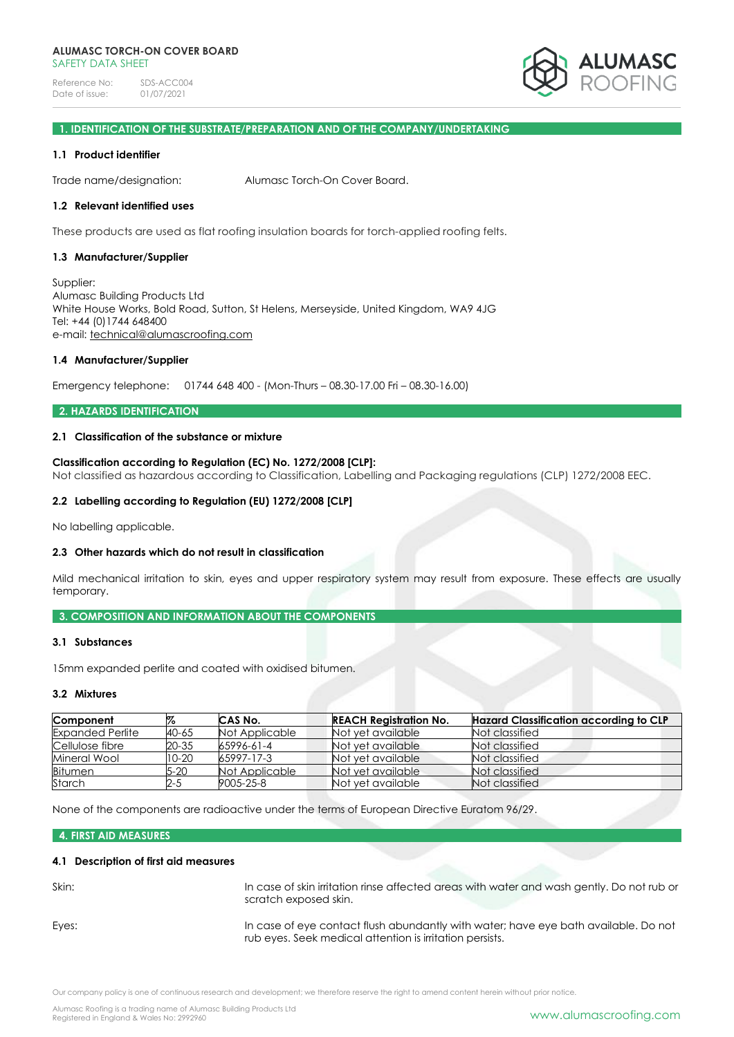

# **1. IDENTIFICATION OF THE SUBSTRATE/PREPARATION AND OF THE COMPANY/UNDERTAKING**

### **1.1 Product identifier**

Trade name/designation: Alumasc Torch-On Cover Board.

#### **1.2 Relevant identified uses**

These products are used as flat roofing insulation boards for torch-applied roofing felts.

#### **1.3 Manufacturer/Supplier**

Supplier: Alumasc Building Products Ltd White House Works, Bold Road, Sutton, St Helens, Merseyside, United Kingdom, WA9 4JG Tel: +44 (0)1744 648400 e-mail: [technical@alumascroofing.com](mailto:technical@alumascroofing.com)

#### **1.4 Manufacturer/Supplier**

Emergency telephone: 01744 648 400 - (Mon-Thurs – 08.30-17.00 Fri – 08.30-16.00)

### **2. HAZARDS IDENTIFICATION**

# **2.1 Classification of the substance or mixture**

### **Classification according to Regulation (EC) No. 1272/2008 [CLP]:**

Not classified as hazardous according to Classification, Labelling and Packaging regulations (CLP) 1272/2008 EEC.

### **2.2 Labelling according to Regulation (EU) 1272/2008 [CLP]**

No labelling applicable.

### **2.3 Other hazards which do not result in classification**

Mild mechanical irritation to skin, eyes and upper respiratory system may result from exposure. These effects are usually temporary.

### **3. COMPOSITION AND INFORMATION ABOUT THE COMPONENTS**

### **3.1 Substances**

15mm expanded perlite and coated with oxidised bitumen.

### **3.2 Mixtures**

| Component               | %         | CAS No.        | <b>REACH Registration No.</b> | <b>Hazard Classification according to CLP</b> |
|-------------------------|-----------|----------------|-------------------------------|-----------------------------------------------|
| <b>Expanded Perlite</b> | 40-65     | Not Applicable | Not yet available             | Not classified                                |
| Cellulose fibre         | 20-35     | 65996-61-4     | Not vet available             | Not classified                                |
| Mineral Wool            | $10 - 20$ | 65997-17-3     | Not vet available             | Not classified                                |
| <b>Bitumen</b>          | 5-20      | Not Applicable | Not vet available             | Not classified                                |
| Starch                  | 2-5       | 9005-25-8      | Not yet available             | Not classified                                |

None of the components are radioactive under the terms of European Directive Euratom 96/29.

# **4. FIRST AID MEASURES**

### **4.1 Description of first aid measures**

| Skin: | In case of skin irritation rinse affected areas with water and wash gently. Do not rub or<br>scratch exposed skin.                              |
|-------|-------------------------------------------------------------------------------------------------------------------------------------------------|
| Eyes: | In case of eye contact flush abundantly with water; have eye bath available. Do not<br>rub eyes. Seek medical attention is irritation persists. |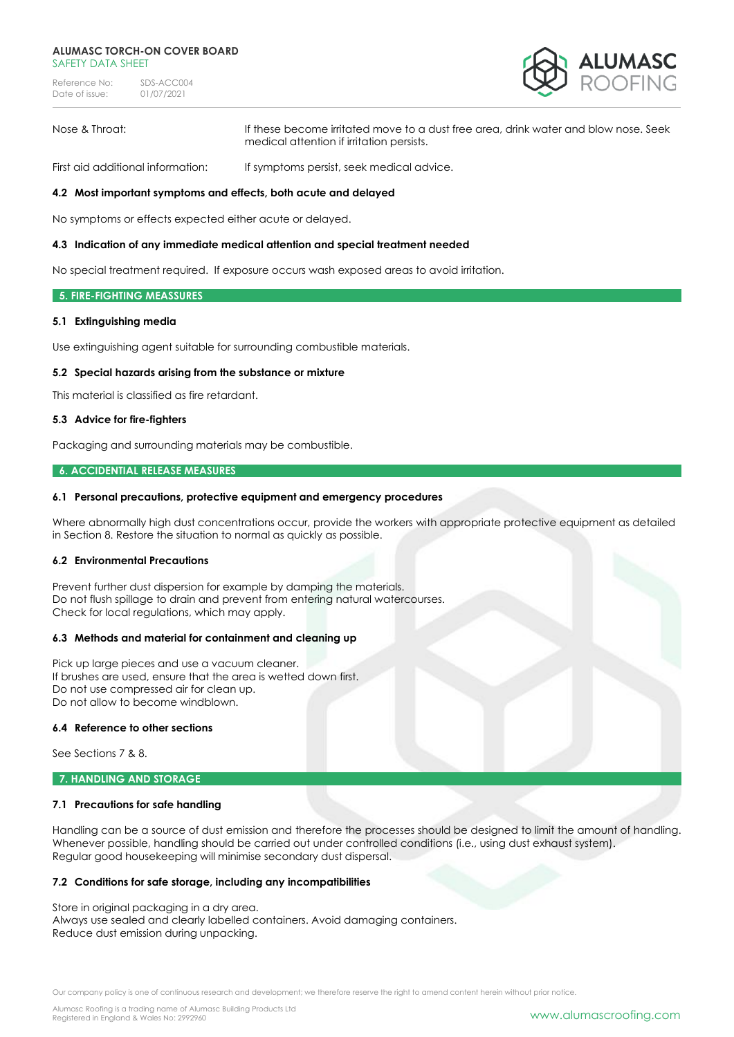#### **ALUMASC TORCH-ON COVER BOARD** SAFFTY DATA SHFFT

Reference No: SDS-ACC004<br>Date of issue: 01/07/2021 Date of issue:



Nose & Throat: If these become irritated move to a dust free area, drink water and blow nose. Seek medical attention if irritation persists.

First aid additional information: If symptoms persist, seek medical advice.

### **4.2 Most important symptoms and effects, both acute and delayed**

No symptoms or effects expected either acute or delayed.

#### **4.3 Indication of any immediate medical attention and special treatment needed**

No special treatment required. If exposure occurs wash exposed areas to avoid irritation.

#### **5. FIRE-FIGHTING MEASSURES**

### **5.1 Extinguishing media**

Use extinguishing agent suitable for surrounding combustible materials.

#### **5.2 Special hazards arising from the substance or mixture**

This material is classified as fire retardant.

#### **5.3 Advice for fire-fighters**

Packaging and surrounding materials may be combustible.

### **6. ACCIDENTIAL RELEASE MEASURES**

#### **6.1 Personal precautions, protective equipment and emergency procedures**

Where abnormally high dust concentrations occur, provide the workers with appropriate protective equipment as detailed in Section 8. Restore the situation to normal as quickly as possible.

## **6.2 Environmental Precautions**

Prevent further dust dispersion for example by damping the materials. Do not flush spillage to drain and prevent from entering natural watercourses. Check for local regulations, which may apply.

#### **6.3 Methods and material for containment and cleaning up**

Pick up large pieces and use a vacuum cleaner. If brushes are used, ensure that the area is wetted down first. Do not use compressed air for clean up. Do not allow to become windblown.

## **6.4 Reference to other sections**

See Sections 7 & 8.

### **7. HANDLING AND STORAGE**

### **7.1 Precautions for safe handling**

Handling can be a source of dust emission and therefore the processes should be designed to limit the amount of handling. Whenever possible, handling should be carried out under controlled conditions (i.e., using dust exhaust system). Regular good housekeeping will minimise secondary dust dispersal.

#### **7.2 Conditions for safe storage, including any incompatibilities**

Store in original packaging in a dry area. Always use sealed and clearly labelled containers. Avoid damaging containers. Reduce dust emission during unpacking.

Our company policy is one of continuous research and development; we therefore reserve the right to amend content herein without prior notice.

Alumasc Roofing is a trading name of Alumasc Building Products Ltd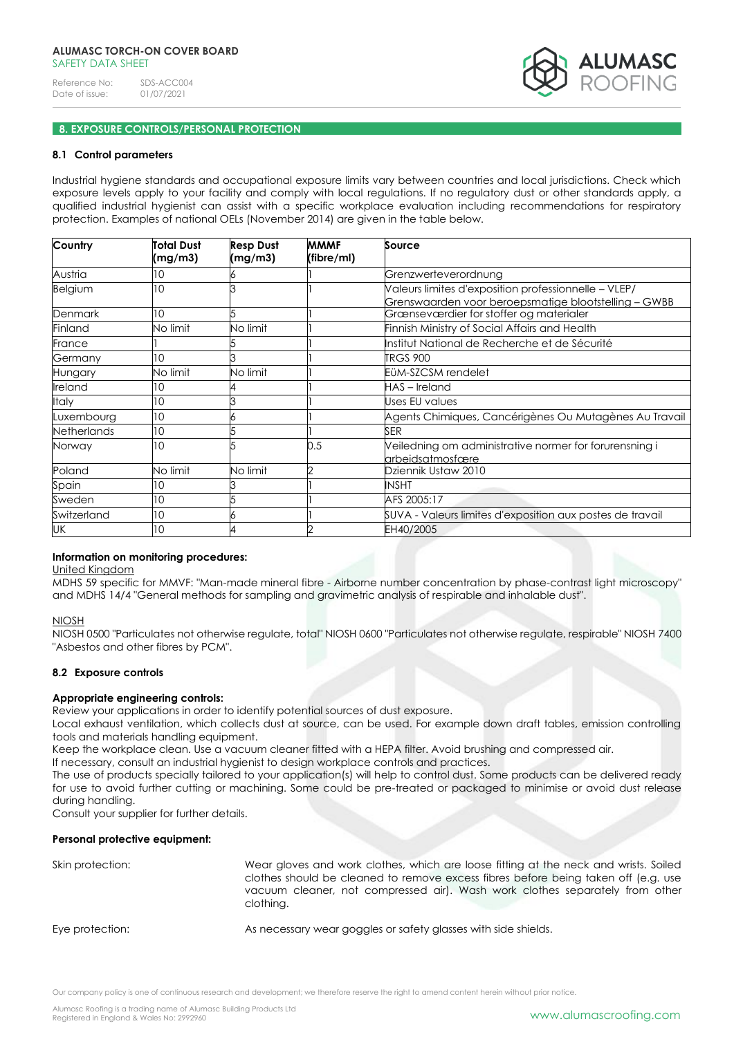

# **8. EXPOSURE CONTROLS/PERSONAL PROTECTION**

### **8.1 Control parameters**

Industrial hygiene standards and occupational exposure limits vary between countries and local jurisdictions. Check which exposure levels apply to your facility and comply with local regulations. If no regulatory dust or other standards apply, a qualified industrial hygienist can assist with a specific workplace evaluation including recommendations for respiratory protection. Examples of national OELs (November 2014) are given in the table below.

| Country            | Total Dust<br>(mg/m3) | <b>Resp Dust</b><br>(mg/m3) | <b>MMMF</b><br>(fibre/ml) | Source                                                                                                       |
|--------------------|-----------------------|-----------------------------|---------------------------|--------------------------------------------------------------------------------------------------------------|
| Austria            | 10                    |                             |                           | Grenzwerteverordnung                                                                                         |
| Belgium            | 10                    |                             |                           | Valeurs limites d'exposition professionnelle - VLEP/<br>Grenswaarden voor beroepsmatige blootstelling - GWBB |
| <b>Denmark</b>     | 10                    |                             |                           | Grænseværdier for stoffer og materialer                                                                      |
| Finland            | No limit              | No limit                    |                           | Finnish Ministry of Social Affairs and Health                                                                |
| France             |                       |                             |                           | Institut National de Recherche et de Sécurité                                                                |
| Germany            | 10                    |                             |                           | <b>TRGS 900</b>                                                                                              |
| Hungary            | No limit              | No limit                    |                           | EÜM-SZCSM rendelet                                                                                           |
| Ireland            | 10                    |                             |                           | HAS-Ireland                                                                                                  |
| Italy              | 10                    |                             |                           | Uses EU values                                                                                               |
| Luxembourg         | 10                    |                             |                           | Agents Chimiques, Cancérigènes Ou Mutagènes Au Travail                                                       |
| <b>Netherlands</b> | 10                    |                             |                           | <b>SER</b>                                                                                                   |
| Norway             | 10                    |                             | 0.5                       | Veiledning om administrative normer for forurensning i<br>arbeidsatmosfære                                   |
| Poland             | No limit              | No limit                    |                           | Dziennik Ustaw 2010                                                                                          |
| Spain              | 10                    |                             |                           | <b>INSHT</b>                                                                                                 |
| Sweden             | 10                    |                             |                           | AFS 2005:17                                                                                                  |
| Switzerland        | 10                    |                             |                           | SUVA - Valeurs limites d'exposition aux postes de travail                                                    |
| UK                 | 10                    |                             |                           | EH40/2005                                                                                                    |

#### **Information on monitoring procedures:**

United Kingdom

MDHS 59 specific for MMVF: "Man-made mineral fibre - Airborne number concentration by phase-contrast light microscopy" and MDHS 14/4 "General methods for sampling and gravimetric analysis of respirable and inhalable dust".

#### NIOSH

NIOSH 0500 "Particulates not otherwise regulate, total" NIOSH 0600 "Particulates not otherwise regulate, respirable" NIOSH 7400 "Asbestos and other fibres by PCM".

### **8.2 Exposure controls**

### **Appropriate engineering controls:**

Review your applications in order to identify potential sources of dust exposure.

Local exhaust ventilation, which collects dust at source, can be used. For example down draft tables, emission controlling tools and materials handling equipment.

Keep the workplace clean. Use a vacuum cleaner fitted with a HEPA filter. Avoid brushing and compressed air.

If necessary, consult an industrial hygienist to design workplace controls and practices.

The use of products specially tailored to your application(s) will help to control dust. Some products can be delivered ready for use to avoid further cutting or machining. Some could be pre-treated or packaged to minimise or avoid dust release during handling.

Consult your supplier for further details.

### **Personal protective equipment:**

| Skin protection: | Wear gloves and work clothes, which are loose fitting at the neck and wrists. Soiled<br>clothes should be cleaned to remove excess fibres before being taken off (e.g. use<br>vacuum cleaner, not compressed air). Wash work clothes separately from other<br>clothing. |
|------------------|-------------------------------------------------------------------------------------------------------------------------------------------------------------------------------------------------------------------------------------------------------------------------|
| Eye protection:  | As necessary wear goggles or safety glasses with side shields.                                                                                                                                                                                                          |

Our company policy is one of continuous research and development; we therefore reserve the right to amend content herein without prior notice.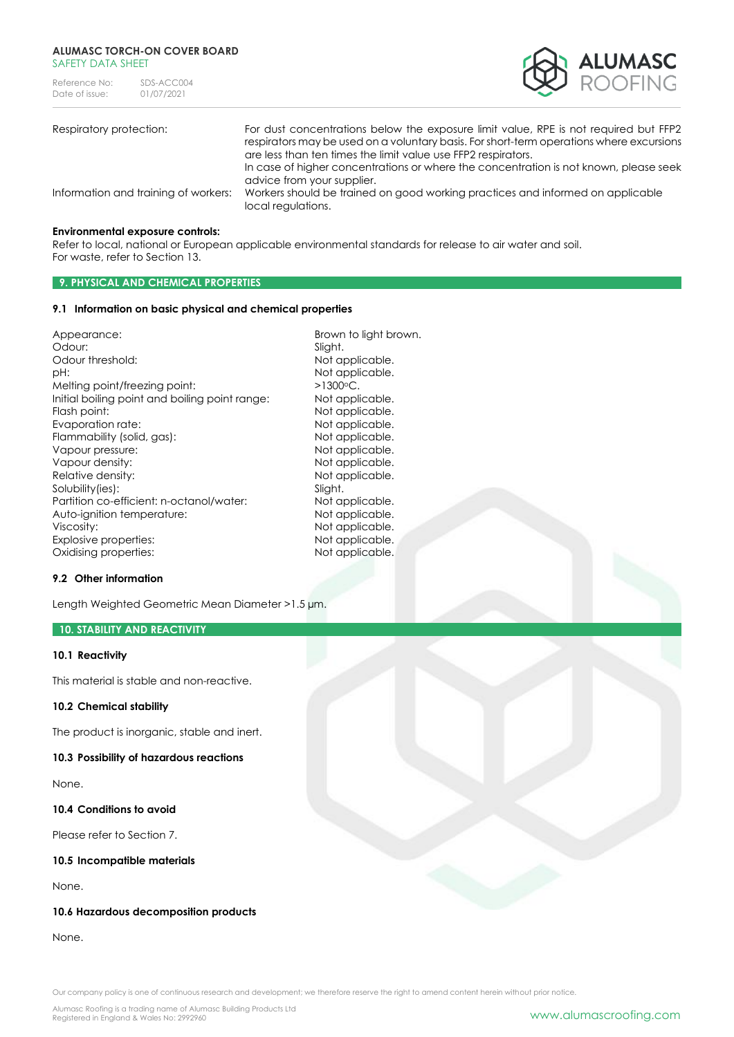#### **ALUMASC TORCH-ON COVER BOARD** SAFFTY DATA SHFFT

| Reference No:  | SDS-ACC004 |
|----------------|------------|
| Date of issue: | 01/07/2021 |



| Respiratory protection:              | For dust concentrations below the exposure limit value, RPE is not required but FFP2<br>respirators may be used on a voluntary basis. For short-term operations where excursions<br>are less than ten times the limit value use FFP2 respirators. |
|--------------------------------------|---------------------------------------------------------------------------------------------------------------------------------------------------------------------------------------------------------------------------------------------------|
| Information and training of workers: | In case of higher concentrations or where the concentration is not known, please seek<br>advice from your supplier.<br>Workers should be trained on good working practices and informed on applicable<br>local regulations.                       |

#### **Environmental exposure controls:**

Refer to local, national or European applicable environmental standards for release to air water and soil. For waste, refer to Section 13.

# **9. PHYSICAL AND CHEMICAL PROPERTIES**

### **9.1 Information on basic physical and chemical properties**

| Appearance:                                    | Browr   |
|------------------------------------------------|---------|
| Odour:                                         | Slight. |
| Odour threshold:                               | Not a   |
| pН:                                            | Not a   |
| Melting point/freezing point:                  | >1300   |
| Initial boiling point and boiling point range: | Not a   |
| Flash point:                                   | Not a   |
| Evaporation rate:                              | Not a   |
| Flammability (solid, gas):                     | Not a   |
| Vapour pressure:                               | Not a   |
| Vapour density:                                | Not a   |
| Relative density:                              | Not a   |
| Solubility(ies):                               | Slight. |
| Partition co-efficient: n-octanol/water:       | Not a   |
| Auto-ignition temperature:                     | Not a   |
| Viscosity:                                     | Not a   |
| Explosive properties:                          | Not a   |
| Oxidising properties:                          | Not a   |

### Not applicable.  $>1300$ °C. Not applicable. Not applicable. Not applicable. Not applicable. Not applicable. Not applicable. Not applicable. Slight. Not applicable. Not applicable. Not applicable. Not applicable. Not applicable.

Brown to light brown.

Not applicable.

### **9.2 Other information**

Length Weighted Geometric Mean Diameter >1.5 µm.

## **10. STABILITY AND REACTIVITY**

#### **10.1 Reactivity**

This material is stable and non-reactive.

### **10.2 Chemical stability**

The product is inorganic, stable and inert.

#### **10.3 Possibility of hazardous reactions**

None.

**10.4 Conditions to avoid**

Please refer to Section 7.

# **10.5 Incompatible materials**

None.

### **10.6 Hazardous decomposition products**

None.

Our company policy is one of continuous research and development; we therefore reserve the right to amend content herein without prior notice.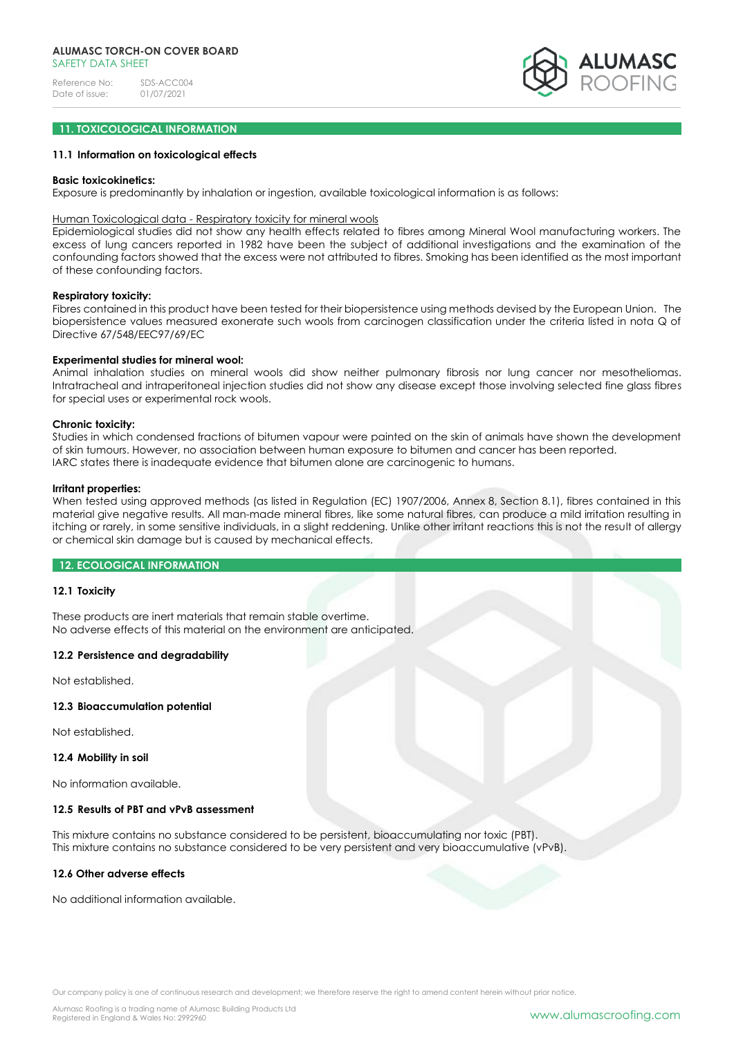

## **11. TOXICOLOGICAL INFORMATION**

### **11.1 Information on toxicological effects**

#### **Basic toxicokinetics:**

Exposure is predominantly by inhalation or ingestion, available toxicological information is as follows:

# Human Toxicological data - Respiratory toxicity for mineral wools

Epidemiological studies did not show any health effects related to fibres among Mineral Wool manufacturing workers. The excess of lung cancers reported in 1982 have been the subject of additional investigations and the examination of the confounding factors showed that the excess were not attributed to fibres. Smoking has been identified as the most important of these confounding factors.

### **Respiratory toxicity:**

Fibres contained in this product have been tested for their biopersistence using methods devised by the European Union. The biopersistence values measured exonerate such wools from carcinogen classification under the criteria listed in nota Q of Directive 67/548/EEC97/69/EC

#### **Experimental studies for mineral wool:**

Animal inhalation studies on mineral wools did show neither pulmonary fibrosis nor lung cancer nor mesotheliomas. Intratracheal and intraperitoneal injection studies did not show any disease except those involving selected fine glass fibres for special uses or experimental rock wools.

#### **Chronic toxicity:**

Studies in which condensed fractions of bitumen vapour were painted on the skin of animals have shown the development of skin tumours. However, no association between human exposure to bitumen and cancer has been reported. IARC states there is inadequate evidence that bitumen alone are carcinogenic to humans.

#### **Irritant properties:**

When tested using approved methods (as listed in Regulation (EC) 1907/2006, Annex 8, Section 8.1), fibres contained in this material give negative results. All man-made mineral fibres, like some natural fibres, can produce a mild irritation resulting in itching or rarely, in some sensitive individuals, in a slight reddening. Unlike other irritant reactions this is not the result of allergy or chemical skin damage but is caused by mechanical effects.

### **12. ECOLOGICAL INFORMATION**

#### **12.1 Toxicity**

These products are inert materials that remain stable overtime. No adverse effects of this material on the environment are anticipated.

### **12.2 Persistence and degradability**

Not established.

# **12.3 Bioaccumulation potential**

Not established.

#### **12.4 Mobility in soil**

No information available.

### **12.5 Results of PBT and vPvB assessment**

This mixture contains no substance considered to be persistent, bioaccumulating nor toxic (PBT). This mixture contains no substance considered to be very persistent and very bioaccumulative (vPvB).

### **12.6 Other adverse effects**

No additional information available.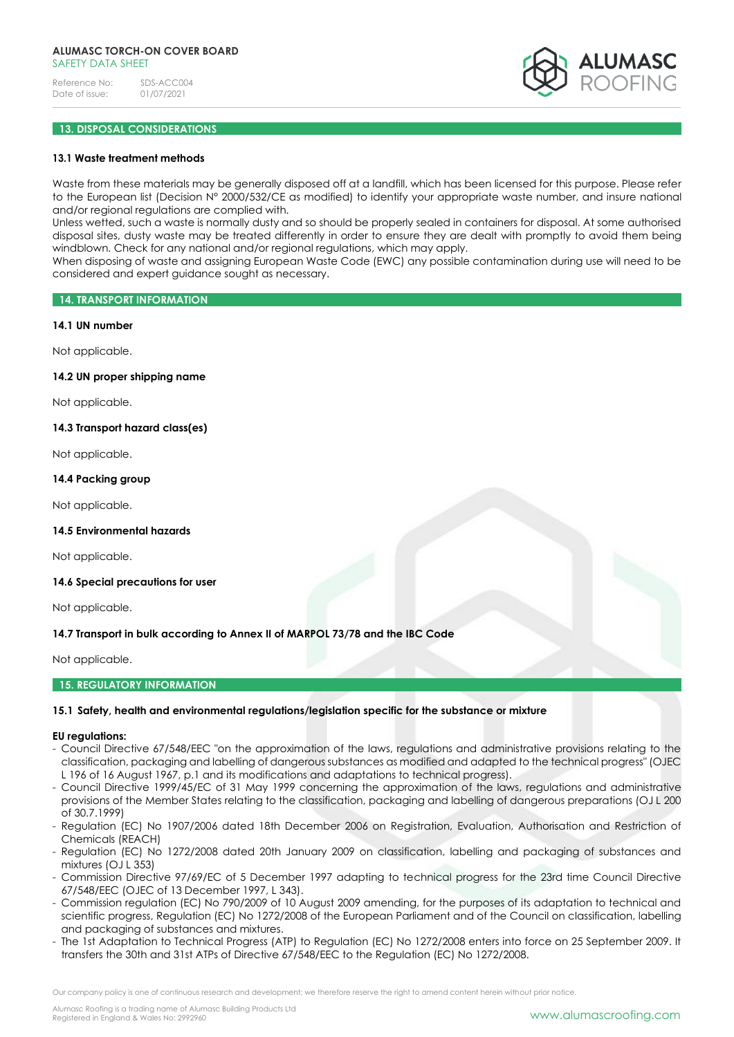

# **13. DISPOSAL CONSIDERATIONS**

### **13.1 Waste treatment methods**

Waste from these materials may be generally disposed off at a landfill, which has been licensed for this purpose. Please refer to the European list (Decision N° 2000/532/CE as modified) to identify your appropriate waste number, and insure national and/or regional regulations are complied with.

Unless wetted, such a waste is normally dusty and so should be properly sealed in containers for disposal. At some authorised disposal sites, dusty waste may be treated differently in order to ensure they are dealt with promptly to avoid them being windblown. Check for any national and/or regional regulations, which may apply.

When disposing of waste and assigning European Waste Code (EWC) any possible contamination during use will need to be considered and expert guidance sought as necessary.

#### **14. TRANSPORT INFORMATION**

#### **14.1 UN number**

Not applicable.

### **14.2 UN proper shipping name**

Not applicable.

### **14.3 Transport hazard class(es)**

Not applicable.

### **14.4 Packing group**

Not applicable.

### **14.5 Environmental hazards**

Not applicable.

#### **14.6 Special precautions for user**

Not applicable.

### **14.7 Transport in bulk according to Annex II of MARPOL 73/78 and the IBC Code**

Not applicable.

# **15. REGULATORY INFORMATION**

### **15.1 Safety, health and environmental regulations/legislation specific for the substance or mixture**

#### **EU regulations:**

- Council Directive 67/548/EEC "on the approximation of the laws, regulations and administrative provisions relating to the classification, packaging and labelling of dangerous substances as modified and adapted to the technical progress" (OJEC L 196 of 16 August 1967, p.1 and its modifications and adaptations to technical progress).
- Council Directive 1999/45/EC of 31 May 1999 concerning the approximation of the laws, regulations and administrative provisions of the Member States relating to the classification, packaging and labelling of dangerous preparations (OJ L 200 of 30.7.1999)
- Regulation (EC) No 1907/2006 dated 18th December 2006 on Registration, Evaluation, Authorisation and Restriction of Chemicals (REACH)
- Regulation (EC) No 1272/2008 dated 20th January 2009 on classification, labelling and packaging of substances and mixtures (OJ L 353)
- Commission Directive 97/69/EC of 5 December 1997 adapting to technical progress for the 23rd time Council Directive 67/548/EEC (OJEC of 13 December 1997, L 343).
- Commission regulation (EC) No 790/2009 of 10 August 2009 amending, for the purposes of its adaptation to technical and scientific progress, Regulation (EC) No 1272/2008 of the European Parliament and of the Council on classification, labelling and packaging of substances and mixtures.
- The 1st Adaptation to Technical Progress (ATP) to Regulation (EC) No 1272/2008 enters into force on 25 September 2009. It transfers the 30th and 31st ATPs of Directive 67/548/EEC to the Regulation (EC) No 1272/2008.